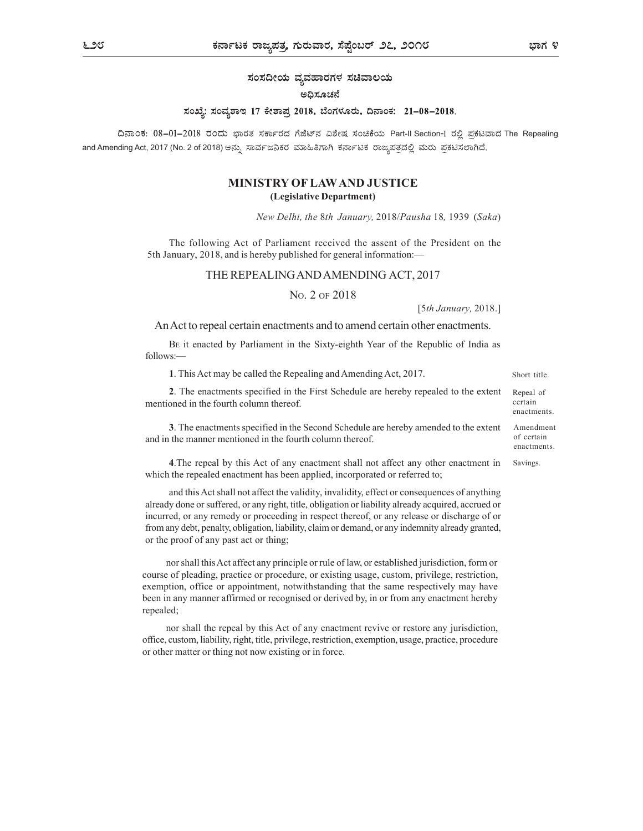ಸಂಸದೀಯ ವ್ಯವಹಾರಗಳ ಸಚಿವಾಲಯ

#### ಅದಿಸೂಚನೆ

### ಸಂಖ್ಯೆ: ಸಂವ್ಯಶಾಇ 17 ಕೇಶಾಪ್ರ 2018, ಬೆಂಗಳೂರು, ದಿನಾಂಕ: 21–08–2018.

ದಿನಾಂಕ: 08-01-2018 ರಂದು ಭಾರತ ಸರ್ಕಾರದ ಗೆಜೆಟ್ನ ವಿಶೇಷ ಸಂಚಿಕೆಯ Part-II Section-I ರಲ್ಲಿ ಪ್ರಕಟವಾದ The Repealing and Amending Act, 2017 (No. 2 of 2018) ಅನ್ನು ಸಾರ್ವಜನಿಕರ ಮಾಹಿತಿಗಾಗಿ ಕರ್ನಾಟಕ ರಾಜ್ಯಪತ್ರದಲ್ಲಿ ಮರು ಪ್ರಕಟಿಸಲಾಗಿದೆ.

# MINISTRY OF LAW AND JUSTICE (Legislative Department)

New Delhi, the 8th January, 2018/Pausha 18, 1939 (Saka)

The following Act of Parliament received the assent of the President on the 5th January, 2018, and is hereby published for general information:—

## THE REPEALING AND AMENDING ACT, 2017

NO. 2 OF 2018

[5th January, 2018.]

An Act to repeal certain enactments and to amend certain other enactments.

BE it enacted by Parliament in the Sixty-eighth Year of the Republic of India as follows:—

1. This Act may be called the Repealing and Amending Act, 2017.

2. The enactments specified in the First Schedule are hereby repealed to the extent mentioned in the fourth column thereof.

3. The enactments specified in the Second Schedule are hereby amended to the extent and in the manner mentioned in the fourth column thereof.

4.The repeal by this Act of any enactment shall not affect any other enactment in which the repealed enactment has been applied, incorporated or referred to;

and this Act shall not affect the validity, invalidity, effect or consequences of anything already done or suffered, or any right, title, obligation or liability already acquired, accrued or incurred, or any remedy or proceeding in respect thereof, or any release or discharge of or from any debt, penalty, obligation, liability, claim or demand, or any indemnity already granted, or the proof of any past act or thing;

nor shall this Act affect any principle or rule of law, or established jurisdiction, form or course of pleading, practice or procedure, or existing usage, custom, privilege, restriction, exemption, office or appointment, notwithstanding that the same respectively may have been in any manner affirmed or recognised or derived by, in or from any enactment hereby repealed;

nor shall the repeal by this Act of any enactment revive or restore any jurisdiction, office, custom, liability, right, title, privilege, restriction, exemption, usage, practice, procedure or other matter or thing not now existing or in force.

Short title.

Repeal of certain enactments.

Amendment of certain enactments.

Savings.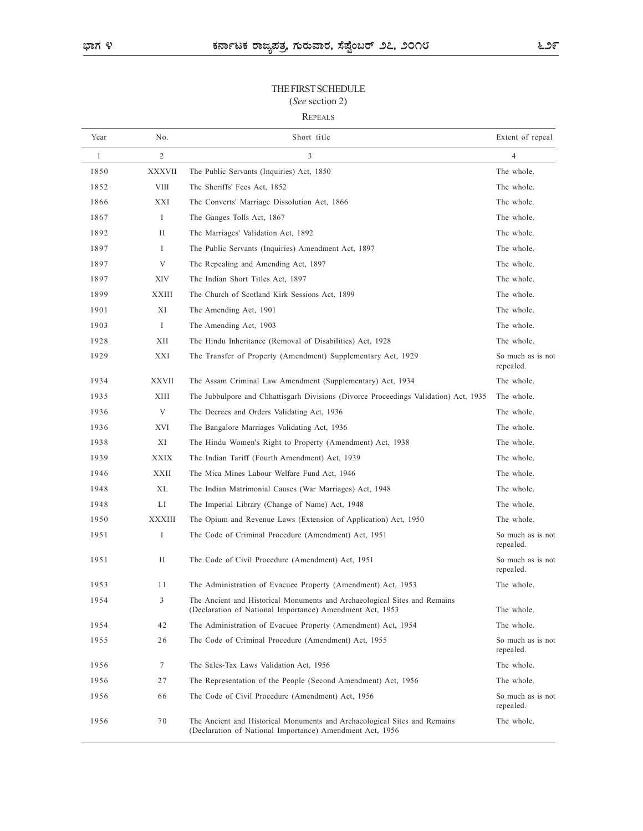# THE FIRST SCHEDULE (See section 2)

## REPEALS

|                                                         |                 | ಕರ್ನಾಟಕ ರಾಜ್ಯಪತ್ರ, ಗುರುವಾರ, ಸೆಪ್ಷೆಂಬರ್ ೨೭, ೨೦೧೮                                                                                       | ೬೨೯                            |
|---------------------------------------------------------|-----------------|---------------------------------------------------------------------------------------------------------------------------------------|--------------------------------|
| THE FIRST SCHEDULE<br>(See section 2)<br><b>REPEALS</b> |                 |                                                                                                                                       |                                |
| Year                                                    | No.             | Short title                                                                                                                           | Extent of repeal               |
| -1                                                      | 2               | $\mathfrak{Z}$                                                                                                                        | $\overline{4}$                 |
| 1850                                                    | <b>XXXVII</b>   | The Public Servants (Inquiries) Act, 1850                                                                                             | The whole.                     |
| 1852                                                    | <b>VIII</b>     | The Sheriffs' Fees Act, 1852                                                                                                          | The whole.                     |
| 1866                                                    | XXI             | The Converts' Marriage Dissolution Act, 1866                                                                                          | The whole.                     |
| 1867                                                    | $\bf{I}$        | The Ganges Tolls Act, 1867                                                                                                            | The whole.                     |
| 1892                                                    | П               | The Marriages' Validation Act, 1892                                                                                                   | The whole.                     |
| 1897                                                    | $\perp$         | The Public Servants (Inquiries) Amendment Act, 1897                                                                                   | The whole.                     |
| 1897                                                    | V               | The Repealing and Amending Act, 1897                                                                                                  | The whole.                     |
| 1897                                                    | XIV             | The Indian Short Titles Act, 1897                                                                                                     | The whole.                     |
| 1899                                                    | <b>XXIII</b>    | The Church of Scotland Kirk Sessions Act, 1899                                                                                        | The whole.                     |
| 1901                                                    | XI              | The Amending Act, 1901                                                                                                                | The whole.                     |
| 1903                                                    | $\mathbf I$     | The Amending Act, 1903                                                                                                                | The whole.                     |
| 1928                                                    | XII             | The Hindu Inheritance (Removal of Disabilities) Act, 1928                                                                             | The whole.                     |
| 1929                                                    | XXI             | The Transfer of Property (Amendment) Supplementary Act, 1929                                                                          | So much as is not<br>repealed. |
| 1934                                                    | <b>XXVII</b>    | The Assam Criminal Law Amendment (Supplementary) Act, 1934                                                                            | The whole.                     |
| 1935                                                    | XIII            | The Jubbulpore and Chhattisgarh Divisions (Divorce Proceedings Validation) Act, 1935                                                  | The whole.                     |
| 1936                                                    | $\mathbf V$     | The Decrees and Orders Validating Act, 1936                                                                                           | The whole.                     |
| 1936                                                    | XVI             | The Bangalore Marriages Validating Act, 1936                                                                                          | The whole.                     |
| 1938                                                    | XI              | The Hindu Women's Right to Property (Amendment) Act, 1938                                                                             | The whole.                     |
| 1939                                                    | <b>XXIX</b>     | The Indian Tariff (Fourth Amendment) Act, 1939                                                                                        | The whole.                     |
| 1946                                                    | <b>XXII</b>     | The Mica Mines Labour Welfare Fund Act, 1946                                                                                          | The whole.                     |
| 1948                                                    | <b>XL</b>       | The Indian Matrimonial Causes (War Marriages) Act, 1948                                                                               | The whole.                     |
| 1948                                                    | LI              | The Imperial Library (Change of Name) Act, 1948                                                                                       | The whole.                     |
| 1950                                                    | <b>XXXIII</b>   | The Opium and Revenue Laws (Extension of Application) Act, 1950                                                                       | The whole.                     |
| 1951                                                    | $\mathbf I$     | The Code of Criminal Procedure (Amendment) Act, 1951                                                                                  | So much as is not<br>repealed. |
| 1951                                                    | И               | The Code of Civil Procedure (Amendment) Act, 1951                                                                                     | So much as is not<br>repealed. |
| 1953                                                    | 11              | The Administration of Evacuee Property (Amendment) Act, 1953                                                                          | The whole.                     |
| 1954                                                    | $\overline{3}$  | The Ancient and Historical Monuments and Archaeological Sites and Remains<br>(Declaration of National Importance) Amendment Act, 1953 | The whole.                     |
| 1954                                                    | 42              | The Administration of Evacuee Property (Amendment) Act, 1954                                                                          | The whole.                     |
| 1955                                                    | 26              | The Code of Criminal Procedure (Amendment) Act, 1955                                                                                  | So much as is not<br>repealed. |
| 1956                                                    | $7\phantom{.0}$ | The Sales-Tax Laws Validation Act, 1956                                                                                               | The whole.                     |
| 1956                                                    | 27              | The Representation of the People (Second Amendment) Act, 1956                                                                         | The whole.                     |
| 1956                                                    | 66              | The Code of Civil Procedure (Amendment) Act, 1956                                                                                     | So much as is not<br>repealed. |
| 1956                                                    | 70              | The Ancient and Historical Monuments and Archaeological Sites and Remains<br>(Declaration of National Importance) Amendment Act, 1956 | The whole.                     |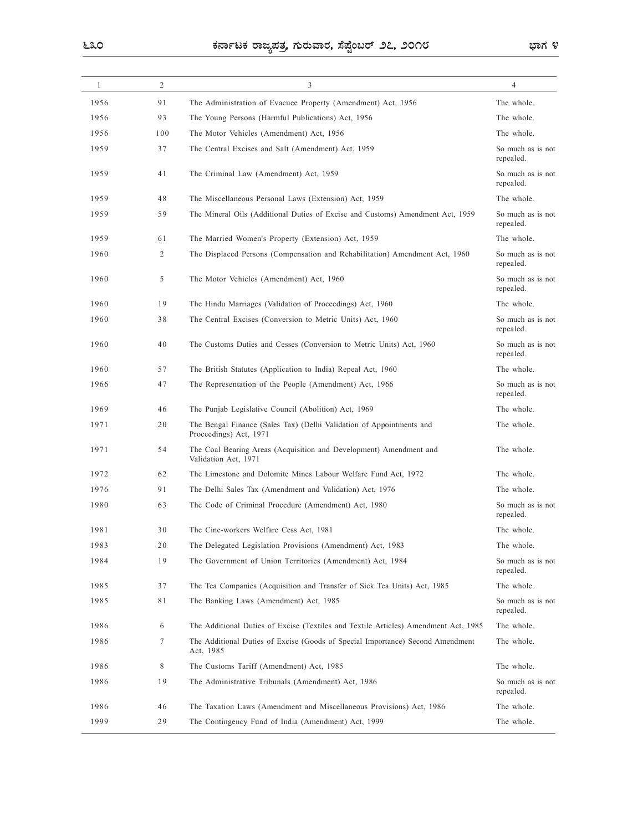| ೬೩೦  |                | ಕರ್ನಾಟಕ ರಾಜ್ಯಪತ್ರ, ಗುರುವಾರ, ಸೆಪ್ಟೆಂಬರ್ ೨೭, ೨೦೧೮                                                                                         |                                 |  |
|------|----------------|-----------------------------------------------------------------------------------------------------------------------------------------|---------------------------------|--|
| -1   | $\overline{2}$ | 3                                                                                                                                       | $\overline{4}$                  |  |
| 1956 | 91             | The Administration of Evacuee Property (Amendment) Act, 1956                                                                            | The whole.                      |  |
| 1956 | 93             | The Young Persons (Harmful Publications) Act, 1956                                                                                      | The whole.                      |  |
| 1956 | 100            | The Motor Vehicles (Amendment) Act, 1956                                                                                                | The whole.                      |  |
| 1959 | 37             | The Central Excises and Salt (Amendment) Act, 1959                                                                                      | So much as is not               |  |
| 1959 | 41             | The Criminal Law (Amendment) Act, 1959                                                                                                  | repealed.<br>So much as is not  |  |
|      |                |                                                                                                                                         | repealed.                       |  |
| 1959 | 48<br>59       | The Miscellaneous Personal Laws (Extension) Act, 1959<br>The Mineral Oils (Additional Duties of Excise and Customs) Amendment Act, 1959 | The whole.<br>So much as is not |  |
| 1959 |                |                                                                                                                                         | repealed.                       |  |
| 1959 | 61             | The Married Women's Property (Extension) Act, 1959                                                                                      | The whole.                      |  |
| 1960 | $\overline{2}$ | The Displaced Persons (Compensation and Rehabilitation) Amendment Act, 1960                                                             | So much as is not<br>repealed.  |  |
| 1960 | 5              | The Motor Vehicles (Amendment) Act, 1960                                                                                                | So much as is not<br>repealed.  |  |
| 1960 | 19             | The Hindu Marriages (Validation of Proceedings) Act, 1960                                                                               | The whole.                      |  |
| 1960 | 38             | The Central Excises (Conversion to Metric Units) Act, 1960                                                                              | So much as is not<br>repealed.  |  |
| 1960 | 40             | The Customs Duties and Cesses (Conversion to Metric Units) Act, 1960                                                                    | So much as is not<br>repealed.  |  |
| 1960 | 57             | The British Statutes (Application to India) Repeal Act, 1960                                                                            | The whole.                      |  |
| 1966 | 47             | The Representation of the People (Amendment) Act, 1966                                                                                  | So much as is not<br>repealed.  |  |
| 1969 | 46             | The Punjab Legislative Council (Abolition) Act, 1969                                                                                    | The whole.                      |  |
| 1971 | 20             | The Bengal Finance (Sales Tax) (Delhi Validation of Appointments and<br>Proceedings) Act, 1971                                          | The whole.                      |  |
| 1971 | 54             | The Coal Bearing Areas (Acquisition and Development) Amendment and<br>Validation Act, 1971                                              | The whole.                      |  |
| 1972 | 62             | The Limestone and Dolomite Mines Labour Welfare Fund Act, 1972                                                                          | The whole.                      |  |
| 1976 | 91             | The Delhi Sales Tax (Amendment and Validation) Act, 1976                                                                                | The whole.                      |  |
| 1980 | 63             | The Code of Criminal Procedure (Amendment) Act, 1980                                                                                    | So much as is not<br>repealed.  |  |
| 1981 | 30             | The Cine-workers Welfare Cess Act, 1981                                                                                                 | The whole.                      |  |
| 1983 | 20             | The Delegated Legislation Provisions (Amendment) Act, 1983                                                                              | The whole.                      |  |
| 1984 | 19             | The Government of Union Territories (Amendment) Act, 1984                                                                               | So much as is not<br>repealed.  |  |
| 1985 | 37             | The Tea Companies (Acquisition and Transfer of Sick Tea Units) Act, 1985                                                                | The whole.                      |  |
| 1985 | 81             | The Banking Laws (Amendment) Act, 1985                                                                                                  | So much as is not               |  |
| 1986 | 6              | The Additional Duties of Excise (Textiles and Textile Articles) Amendment Act, 1985                                                     | repealed.<br>The whole.         |  |
| 1986 | $\tau$         | The Additional Duties of Excise (Goods of Special Importance) Second Amendment<br>Act, 1985                                             | The whole.                      |  |
| 1986 | 8              | The Customs Tariff (Amendment) Act, 1985                                                                                                | The whole.                      |  |
| 1986 | 19             | The Administrative Tribunals (Amendment) Act, 1986                                                                                      | So much as is not<br>repealed.  |  |
| 1986 | 46             | The Taxation Laws (Amendment and Miscellaneous Provisions) Act, 1986                                                                    | The whole.                      |  |
| 1999 | 29             | The Contingency Fund of India (Amendment) Act, 1999                                                                                     | The whole.                      |  |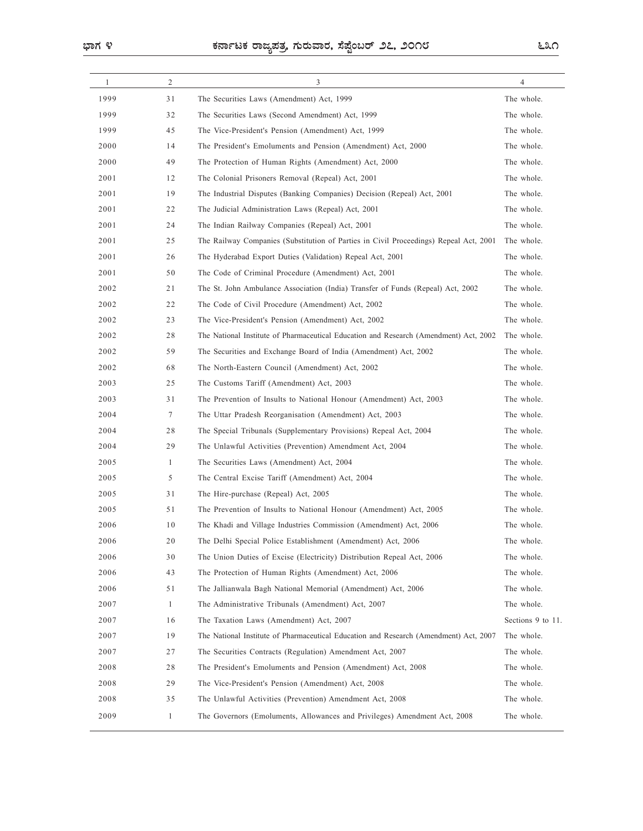| -1<br>1999<br>1999<br>1999<br>2000<br>2000 | 2<br>31<br>32 | 3                                                                                                                                     |                          |
|--------------------------------------------|---------------|---------------------------------------------------------------------------------------------------------------------------------------|--------------------------|
|                                            |               |                                                                                                                                       | $\overline{4}$           |
|                                            |               | The Securities Laws (Amendment) Act, 1999                                                                                             | The whole.               |
|                                            |               | The Securities Laws (Second Amendment) Act, 1999                                                                                      | The whole.               |
|                                            | 45            | The Vice-President's Pension (Amendment) Act, 1999                                                                                    | The whole.               |
|                                            | 14            | The President's Emoluments and Pension (Amendment) Act, 2000                                                                          | The whole.               |
|                                            | 49            | The Protection of Human Rights (Amendment) Act, 2000                                                                                  | The whole.               |
| 2001                                       | 12            | The Colonial Prisoners Removal (Repeal) Act, 2001                                                                                     | The whole.               |
| 2001                                       | 19            | The Industrial Disputes (Banking Companies) Decision (Repeal) Act, 2001                                                               | The whole.<br>The whole. |
| 2001<br>2001                               | 22<br>24      | The Judicial Administration Laws (Repeal) Act, 2001<br>The Indian Railway Companies (Repeal) Act, 2001                                | The whole.               |
| 2001                                       | 25            | The Railway Companies (Substitution of Parties in Civil Proceedings) Repeal Act, 2001                                                 | The whole.               |
| 2001                                       | 26            | The Hyderabad Export Duties (Validation) Repeal Act, 2001                                                                             | The whole.               |
| 2001                                       | 50            | The Code of Criminal Procedure (Amendment) Act, 2001                                                                                  | The whole.               |
| 2002                                       | 21            | The St. John Ambulance Association (India) Transfer of Funds (Repeal) Act, 2002                                                       | The whole.               |
| 2002                                       | 22            | The Code of Civil Procedure (Amendment) Act, 2002                                                                                     | The whole.               |
| 2002                                       | 23            | The Vice-President's Pension (Amendment) Act, 2002                                                                                    | The whole.               |
| 2002                                       | 28            | The National Institute of Pharmaceutical Education and Research (Amendment) Act, 2002                                                 | The whole.               |
| 2002                                       | 59            | The Securities and Exchange Board of India (Amendment) Act, 2002                                                                      | The whole.               |
| 2002                                       | 68            | The North-Eastern Council (Amendment) Act, 2002                                                                                       | The whole.               |
| 2003                                       | 25            | The Customs Tariff (Amendment) Act, 2003                                                                                              | The whole.               |
| 2003                                       | 31            | The Prevention of Insults to National Honour (Amendment) Act, 2003                                                                    | The whole.               |
| 2004                                       | $\tau$        | The Uttar Pradesh Reorganisation (Amendment) Act, 2003                                                                                | The whole.               |
| 2004                                       | 28            | The Special Tribunals (Supplementary Provisions) Repeal Act, 2004                                                                     | The whole.               |
| 2004                                       | 29            | The Unlawful Activities (Prevention) Amendment Act, 2004                                                                              | The whole.               |
| 2005                                       | -1            | The Securities Laws (Amendment) Act, 2004                                                                                             | The whole.               |
| 2005                                       | 5             | The Central Excise Tariff (Amendment) Act, 2004                                                                                       | The whole.               |
| 2005                                       | 31            | The Hire-purchase (Repeal) Act, 2005                                                                                                  | The whole.               |
| 2005                                       | 51            | The Prevention of Insults to National Honour (Amendment) Act, 2005                                                                    | The whole.               |
| 2006                                       | 10            | The Khadi and Village Industries Commission (Amendment) Act, 2006                                                                     | The whole.               |
| 2006                                       | 20            | The Delhi Special Police Establishment (Amendment) Act, 2006                                                                          | The whole.               |
| 2006                                       | 30            | The Union Duties of Excise (Electricity) Distribution Repeal Act, 2006                                                                | The whole.               |
| 2006                                       | 43            | The Protection of Human Rights (Amendment) Act, 2006                                                                                  | The whole.               |
| 2006                                       | 51            | The Jallianwala Bagh National Memorial (Amendment) Act, 2006                                                                          | The whole.               |
| 2007                                       | -1            | The Administrative Tribunals (Amendment) Act, 2007                                                                                    | The whole.               |
| 2007                                       | 16            | The Taxation Laws (Amendment) Act, 2007                                                                                               | Sections 9 to 11.        |
| 2007                                       | 19            | The National Institute of Pharmaceutical Education and Research (Amendment) Act, 2007                                                 | The whole.               |
| 2007                                       | 27            | The Securities Contracts (Regulation) Amendment Act, 2007                                                                             | The whole.               |
| 2008                                       | 28            | The President's Emoluments and Pension (Amendment) Act, 2008                                                                          | The whole.               |
| 2008                                       | 29            | The Vice-President's Pension (Amendment) Act, 2008                                                                                    | The whole.               |
| 2008<br>2009                               | 35<br>-1      | The Unlawful Activities (Prevention) Amendment Act, 2008<br>The Governors (Emoluments, Allowances and Privileges) Amendment Act, 2008 | The whole.<br>The whole. |